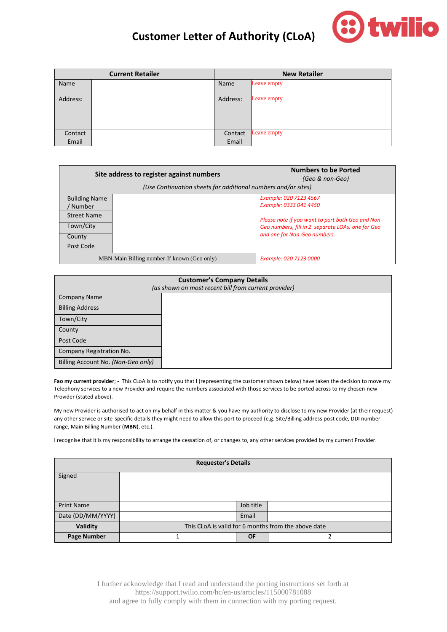

## **Customer Letter of Authority (CLoA)**

| <b>Current Retailer</b> |  | <b>New Retailer</b> |             |
|-------------------------|--|---------------------|-------------|
| Name                    |  | Name                | Leave empty |
| Address:                |  | Address:            | Leave empty |
| Contact                 |  | Contact             | Leave empty |
| Email                   |  | Email               |             |

| Site address to register against numbers                      |                                             | <b>Numbers to be Ported</b><br>(Geo & non-Geo)    |
|---------------------------------------------------------------|---------------------------------------------|---------------------------------------------------|
| (Use Continuation sheets for additional numbers and/or sites) |                                             |                                                   |
| <b>Building Name</b>                                          |                                             | Example: 020 7123 4567                            |
| Number                                                        |                                             | Example: 0333 041 4450                            |
| <b>Street Name</b>                                            |                                             | Please note if you want to port both Geo and Non- |
| Town/City                                                     |                                             | Geo numbers, fill in 2 separate LOAs, one for Geo |
| County                                                        |                                             | and one for Non-Geo numbers.                      |
| Post Code                                                     |                                             |                                                   |
|                                                               | MBN-Main Billing number-If known (Geo only) | Example: 020 7123 0000                            |

| <b>Customer's Company Details</b><br>(as shown on most recent bill from current provider) |  |  |
|-------------------------------------------------------------------------------------------|--|--|
| <b>Company Name</b>                                                                       |  |  |
| <b>Billing Address</b>                                                                    |  |  |
| Town/City                                                                                 |  |  |
| County                                                                                    |  |  |
| Post Code                                                                                 |  |  |
| Company Registration No.                                                                  |  |  |
| Billing Account No. (Non-Geo only)                                                        |  |  |

Fao my current provider; - This CLoA is to notify you that I (representing the customer shown below) have taken the decision to move my Telephony services to a new Provider and require the numbers associated with those services to be ported across to my chosen new Provider (stated above).

My new Provider is authorised to act on my behalf in this matter & you have my authority to disclose to my new Provider (at their request) any other service or site-specific details they might need to allow this port to proceed (e.g. Site/Billing address post code, DDI number range, Main Billing Number (**MBN**), etc.).

I recognise that it is my responsibility to arrange the cessation of, or changes to, any other services provided by my current Provider.

| <b>Requester's Details</b> |                                                     |           |  |
|----------------------------|-----------------------------------------------------|-----------|--|
| Signed                     |                                                     |           |  |
|                            |                                                     |           |  |
|                            |                                                     |           |  |
| <b>Print Name</b>          |                                                     | Job title |  |
| Date (DD/MM/YYYY)          |                                                     | Email     |  |
| Validity                   | This CLoA is valid for 6 months from the above date |           |  |
| <b>Page Number</b>         |                                                     | <b>OF</b> |  |

I further acknowledge that I read and understand the porting instructions set forth at https://support.twilio.com/hc/en-us/articles/115000781088 and agree to fully comply with them in connection with my porting request.